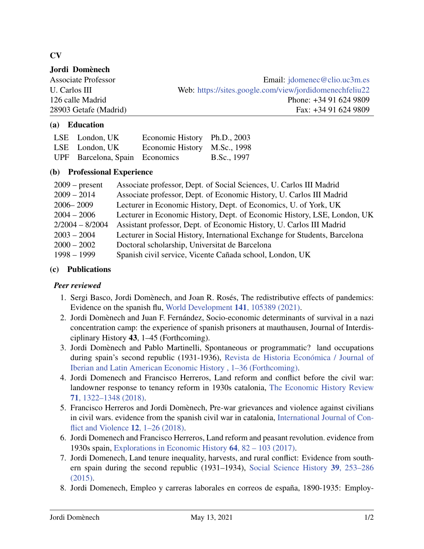# CV

## Jordi Domènech

Associate Professor Email: [jdomenec@clio.uc3m.es](mailto:jdomenec@clio.uc3m.es) U. Carlos III Web: <https://sites.google.com/view/jordidomenechfeliu22> 126 calle Madrid Phone: +34 91 624 9809 28903 Getafe (Madrid) Fax: +34 91 624 9809

### (a) Education

| LSE London, UK | Economic History Ph.D., 2003   |             |
|----------------|--------------------------------|-------------|
| LSE London, UK | Economic History M.Sc., 1998   |             |
|                | UPF Barcelona, Spain Economics | B.Sc., 1997 |

### (b) Professional Experience

| $2009$ – present  | Associate professor, Dept. of Social Sciences, U. Carlos III Madrid        |
|-------------------|----------------------------------------------------------------------------|
| $2009 - 2014$     | Associate professor, Dept. of Economic History, U. Carlos III Madrid       |
| $2006 - 2009$     | Lecturer in Economic History, Dept. of Economics, U. of York, UK           |
| $2004 - 2006$     | Lecturer in Economic History, Dept. of Economic History, LSE, London, UK   |
| $2/2004 - 8/2004$ | Assistant professor, Dept. of Economic History, U. Carlos III Madrid       |
| $2003 - 2004$     | Lecturer in Social History, International Exchange for Students, Barcelona |
| $2000 - 2002$     | Doctoral scholarship, Universitat de Barcelona                             |
| $1998 - 1999$     | Spanish civil service, Vicente Cañada school, London, UK                   |

### (c) Publications

#### *Peer reviewed*

- 1. Sergi Basco, Jordi Domènech, and Joan R. Rosés, The redistributive effects of pandemics: Evidence on the spanish flu, [World Development](https://doi.org/https://doi.org/10.1016/j.worlddev.2021.105389) 141, 105389 (2021).
- 2. Jordi Domènech and Juan F. Fernández, Socio-economic determinants of survival in a nazi concentration camp: the experience of spanish prisoners at mauthausen, Journal of Interdisciplinary History 43, 1–45 (Forthcoming).
- 3. Jordi Domènech and Pablo Martinelli, Spontaneous or programmatic? land occupations during spain's second republic (1931-1936), [Revista de Historia Económica / Journal of](https://doi.org/10.1017/S0212610920000087) [Iberian and Latin American Economic History , 1–36 \(Forthcoming\).](https://doi.org/10.1017/S0212610920000087)
- 4. Jordi Domenech and Francisco Herreros, Land reform and conflict before the civil war: landowner response to tenancy reform in 1930s catalonia, [The Economic History Review](https://doi.org/https://doi.org/10.1111/ehr.12614) 71[, 1322–1348 \(2018\).](https://doi.org/https://doi.org/10.1111/ehr.12614)
- 5. Francisco Herreros and Jordi Domènech, Pre-war grievances and violence against civilians in civil wars. evidence from the spanish civil war in catalonia, [International Journal of Con](https://doi.org/10.4119/UNIBI/ijcv.584)[flict and Violence](https://doi.org/10.4119/UNIBI/ijcv.584) 12, 1–26 (2018).
- 6. Jordi Domenech and Francisco Herreros, Land reform and peasant revolution. evidence from 1930s spain, [Explorations in Economic History](https://doi.org/https://doi.org/10.1016/j.eeh.2017.02.002) 64, 82 – 103 (2017).
- 7. Jordi Domenech, Land tenure inequality, harvests, and rural conflict: Evidence from southern spain during the second republic (1931–1934), [Social Science History](https://doi.org/10.1017/ssh.2015.53) 39, 253–286 [\(2015\).](https://doi.org/10.1017/ssh.2015.53)
- 8. Jordi Domenech, Empleo y carreras laborales en correos de españa, 1890-1935: Employ-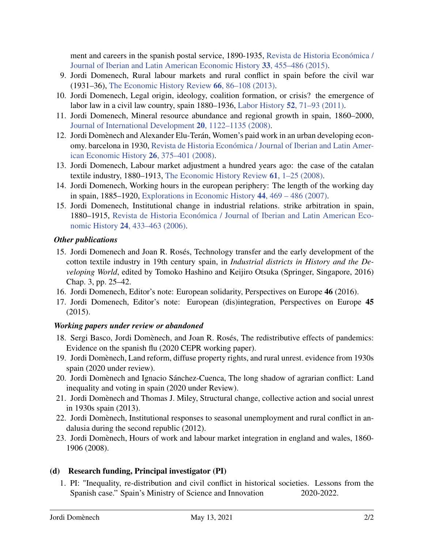ment and careers in the spanish postal service, 1890-1935, [Revista de Historia Económica /](https://doi.org/10.1017/S0212610915000154) [Journal of Iberian and Latin American Economic History](https://doi.org/10.1017/S0212610915000154) 33, 455–486 (2015).

- 9. Jordi Domenech, Rural labour markets and rural conflict in spain before the civil war (1931–36), [The Economic History Review](https://doi.org/https://doi.org/10.1111/j.1468-0289.2011.00655.x) 66, 86–108 (2013).
- 10. Jordi Domenech, Legal origin, ideology, coalition formation, or crisis? the emergence of labor law in a civil law country, spain 1880–1936, Labor History 52[, 71–93 \(2011\).](https://doi.org/10.1080/0023656X.2010.528993)
- 11. Jordi Domenech, Mineral resource abundance and regional growth in spain, 1860–2000, [Journal of International Development](https://doi.org/https://doi.org/10.1002/jid.1515) 20, 1122–1135 (2008).
- 12. Jordi Domènech and Alexander Elu-Terán, Women's paid work in an urban developing economy. barcelona in 1930, [Revista de Historia Económica / Journal of Iberian and Latin Amer](https://doi.org/10.1017/S0212610900000392)[ican Economic History](https://doi.org/10.1017/S0212610900000392) 26, 375–401 (2008).
- 13. Jordi Domenech, Labour market adjustment a hundred years ago: the case of the catalan textile industry, 1880–1913, [The Economic History Review](https://doi.org/https://doi.org/10.1111/j.1468-0289.2007.00385.x) 61, 1–25 (2008).
- 14. Jordi Domenech, Working hours in the european periphery: The length of the working day in spain, 1885–1920, [Explorations in Economic History](https://doi.org/https://doi.org/10.1016/j.eeh.2006.07.001) 44, 469 – 486 (2007).
- 15. Jordi Domenech, Institutional change in industrial relations. strike arbitration in spain, 1880–1915, [Revista de Historia Económica / Journal of Iberian and Latin American Eco](https://doi.org/10.1017/S0212610900000598)nomic History 24[, 433–463 \(2006\).](https://doi.org/10.1017/S0212610900000598)

### *Other publications*

- 15. Jordi Domenech and Joan R. Rosés, Technology transfer and the early development of the cotton textile industry in 19th century spain, in *Industrial districts in History and the Developing World*, edited by Tomoko Hashino and Keijiro Otsuka (Springer, Singapore, 2016) Chap. 3, pp. 25–42.
- 16. Jordi Domenech, Editor's note: European solidarity, Perspectives on Europe 46 (2016).
- 17. Jordi Domenech, Editor's note: European (dis)integration, Perspectives on Europe 45 (2015).

## *Working papers under review or abandoned*

- 18. Sergi Basco, Jordi Domènech, and Joan R. Rosés, The redistributive effects of pandemics: Evidence on the spanish flu (2020 CEPR working paper).
- 19. Jordi Domènech, Land reform, diffuse property rights, and rural unrest. evidence from 1930s spain (2020 under review).
- 20. Jordi Domènech and Ignacio Sánchez-Cuenca, The long shadow of agrarian conflict: Land inequality and voting in spain (2020 under Review).
- 21. Jordi Domènech and Thomas J. Miley, Structural change, collective action and social unrest in 1930s spain (2013).
- 22. Jordi Domènech, Institutional responses to seasonal unemployment and rural conflict in andalusia during the second republic (2012).
- 23. Jordi Domènech, Hours of work and labour market integration in england and wales, 1860- 1906 (2008).

## (d) Research funding, Principal investigator (PI)

1. PI: "Inequality, re-distribution and civil conflict in historical societies. Lessons from the Spanish case." Spain's Ministry of Science and Innovation 2020-2022.